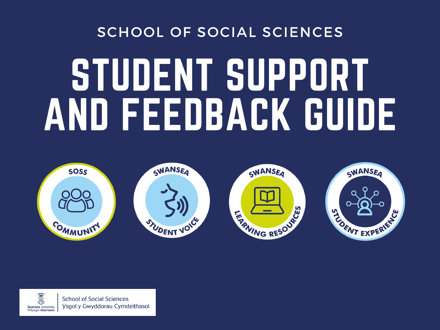# STUDENT SUPPORT AND FEEDBACK GUIDE



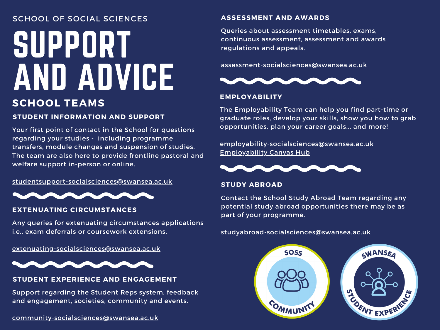## SUPPORT AND ADVICE SCHOOL OF SOCIAL SCIENCES

## **SCHOOL TEAMS**

## **STUDENT INFORMATION AND SUPPORT**

Your first point of contact in the School for questions regarding your studies - including programme transfers, module changes and suspension of studies. The team are also here to provide frontline pastoral and welfare support in-person or online.

s[tudentsupport-socialsciences@swansea.ac.uk](mailto:studentsupport-socialsciences@swansea.ac.uk)



## **EXTENUATING CIRCUMSTANCES**

Any queries for extenuating circumstances applications i.e., exam deferrals or coursework extensions.

[extenuating-socialsciences@swansea.ac.uk](mailto:extenuating-socialsciences@swansea.ac.uk)



## **STUDENT EXPERIENCE AND ENGAGEMENT**

Support regarding the Student Reps system, feedback and engagement, societies, community and events.

#### **ASSESSMENT AND AWARDS**

Queries about assessment timetables, exams, continuous assessment, assessment and awards regulations and appeals.

#### [assessment-socialsciences@swansea.ac.uk](mailto:assessment-socialsciences@swansea.ac.uk)



## **EMPLOYABILITY**

The Employability Team can help you find part-time or graduate roles, develop your skills, show you how to grab opportunities, plan your career goals... and more!

[employability-socialsciences@swansea.ac.uk](mailto:employability-socialsciences@swansea.ac.uk) [Employability](https://canvas.swansea.ac.uk/courses/34403) Canvas Hub



#### **STUDY ABROAD**

Contact the School Study Abroad Team regarding any potential study abroad opportunities there may be as part of your programme.

#### [studyabroad-socialsciences@swansea.ac.uk](mailto:studyabroad-socialsciences@swansea.ac.uk)

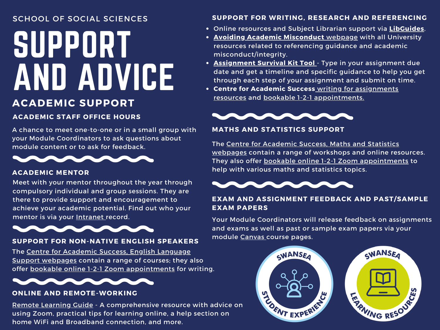## SUPPORT AND ADVICE SCHOOL OF SOCIAL SCIENCES

## **ACADEMIC SUPPORT**

## **ACADEMIC STAFF OFFICE HOURS**

A chance to meet one-to-one or in a small group with your Module Coordinators to ask questions about module content or to ask for feedback.



## **ACADEMIC MENTOR**

Meet with your mentor throughout the year through compulsory individual and group sessions. They are there to provide support and encouragement to achieve your academic potential. Find out who your mentor is via your [Intranet](https://intranet.swan.ac.uk/) record.



## **SUPPORT FOR NON-NATIVE ENGLISH SPEAKERS**

The [Centre](https://myuni.swansea.ac.uk/academic-success/english-language-support/) for Academic Success, English Language Support [webpages](https://myuni.swansea.ac.uk/academic-success/english-language-support/) contain a range of courses; they also offer bookable online 1-2-1 Zoom [appointments](https://outlook.office365.com/owa/calendar/CentreforAcademicSuccess1@SwanseaUniversity.onmicrosoft.com/bookings/s/-07-eJq5ZEeT_weQfkGQ-Q2) for writing.



## **ONLINE AND REMOTE-WORKING**

Remote [Learning](https://myuni.swansea.ac.uk/academic-life/remote-learning-guide/) Guide - A comprehensive resource with advice on using Zoom, practical tips for learning online, a help section on home WiFi and Broadband connection, and more.

## **SUPPORT FOR WRITING, RESEARCH AND REFERENCING**

- Online resources and Subject Librarian support via **[LibGuides](https://libguides.swansea.ac.uk/sb.php?subject_id=133277)**.
- **Avoiding Academic [Misconduct](https://myuni.swansea.ac.uk/academic-life/academic-misconduct/)** [webpage](https://myuni.swansea.ac.uk/academic-life/academic-misconduct/) with all University resources related to referencing guidance and academic misconduct/integrity.
- **[Assignment](https://libguides.swansea.ac.uk/ChildhoodStudies/ASK) Survival Kit Tool** Type in your assignment due date and get a timeline and specific guidance to help you get through each step of your assignment and submit on time.
- **Centre for Academic Success** writing for assignments resources and bookable 1-2-1 [appointments.](https://myuni.swansea.ac.uk/academic-success/writing-for-assignments/)



## **MATHS AND STATISTICS SUPPORT**

The Centre for Academic Success, Maths and Statistics webpages contain a range of [workshops](https://myuni.swansea.ac.uk/academic-success/maths-and-stats/) and online resources. They also offer bookable online 1-2-1 Zoom [appointments](https://outlook.office365.com/owa/calendar/CentreforAcademicSuccess1@SwanseaUniversity.onmicrosoft.com/bookings/s/wKMJxBoTRECmr5VQwmeQ6Q2) to help with various maths and statistics topics.



## **EXAM AND ASSIGNMENT FEEDBACK AND PAST/SAMPLE EXAM PAPERS**

Your Module Coordinators will release feedback on assignments and exams as well as past or sample exam papers via your module [Canvas](https://canvas.swansea.ac.uk/) course pages.



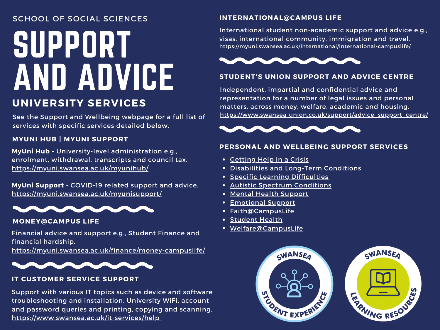# SUPPORT AND ADVICE

## **UNIVERSITY SERVICES**

See the **Support and [Wellbeing](https://myuni.swansea.ac.uk/support-wellbeing/) webpage** for a full list of services with specific services detailed below.

## **MYUNI HUB | MYUNI SUPPORT**

**MyUni Hub** - University-level administration e.g., enrolment, withdrawal, transcripts and council tax. <https://myuni.swansea.ac.uk/myunihub/>

**MyUni Support** - COVID-19 related support and advice. <https://myuni.swansea.ac.uk/myunisupport/>



## **MONEY@CAMPUS LIFE**

Financial advice and support e.g., Student Finance and financial hardship.

<https://myuni.swansea.ac.uk/finance/money-campuslife/>



## **IT CUSTOMER SERVICE SUPPORT**

Support with various IT topics such as device and software troubleshooting and installation, University WiFi, account and password queries and printing, copying and scanning. <https://www.swansea.ac.uk/it-services/help>

## **INTERNATIONAL@CAMPUS LIFE**

International student non-academic support and advice e.g., visas, international community, immigration and travel. <https://myuni.swansea.ac.uk/international/international-campuslife/>



## **STUDENT'S UNION SUPPORT AND ADVICE CENTRE**

Independent, impartial and confidential advice and representation for a number of legal issues and personal matters, across money, welfare, academic and housing. [https://www.swansea-union.co.uk/support/advice\\_support\\_centre/](https://www.swansea-union.co.uk/support/advice_support_centre/)



## **PERSONAL AND WELLBEING SUPPORT SERVICES**

- **[Getting](https://myuni.swansea.ac.uk/student-support-services/help-in-a-crisis/) Help in a Crisis**
- [Disabilities](https://myuni.swansea.ac.uk/student-support-services/disabilities-and-long-term-conditions/) and Long-Term Conditions
- **Specific Learning [Difficulties](https://myuni.swansea.ac.uk/student-support-services/specific-learning-difficulties/)**
- Autistic Spectrum [Conditions](https://myuni.swansea.ac.uk/student-support-services/autistic-spectrum-conditions/)
- Mental Health [Support](https://myuni.swansea.ac.uk/student-support-services/mental-health-support/)
- [Emotional](https://myuni.swansea.ac.uk/student-support-services/emotional-support/) Support
- [Faith@CampusLife](https://myuni.swansea.ac.uk/support-wellbeing/faith/)
- **[Student](https://myuni.swansea.ac.uk/welfare/student-health/) Health**
- [Welfare@CampusLife](https://myuni.swansea.ac.uk/welfare/)



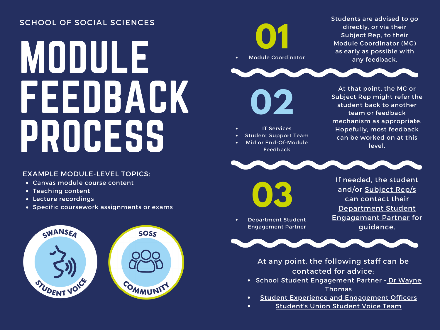# MODULE<sup>1</sup> FEEDBACK PROCESS

## EXAMPLE MODULE-LEVEL TOPICS:

- Canvas module course content
- Teaching content
- Lecture recordings
- Specific coursework assignments or exams





Students are advised to go directly, or via their [Subject](https://swanseauniversity.sharepoint.com/:x:/s/FHSSEducationandStudentExperience-UsrGrp/EbsQPlRV67xMsI2SGQ9tsv8B2QKGLxbS1BEKU_iGYJFzNA?e=svLCz3) Rep, to their Module Coordinator (MC) as early as possible with any feedback.



At that point, the MC or Subject Rep might refer the student back to another team or feedback mechanism as appropriate. Hopefully, most feedback can be worked on at this level.



**03**

Department Student Engagement Partner

IT Services Student Support Team Mid or End-Of-Module Feedback

> If needed, the student and/or [Subject](https://swanseauniversity.sharepoint.com/:x:/s/FHSSEducationandStudentExperience-UsrGrp/EbsQPlRV67xMsI2SGQ9tsv8B2QKGLxbS1BEKU_iGYJFzNA?e=svLCz3) Rep/s can contact their [Department](https://swanseauniversity.sharepoint.com/:x:/s/FHSSEducationandStudentExperience-UsrGrp/EbsQPlRV67xMsI2SGQ9tsv8B2QKGLxbS1BEKU_iGYJFzNA?e=8RdVQn) Student [Engagement](https://canvas.swansea.ac.uk/courses/34518/pages/student-voice) Partner for guidance.



At any point, the following staff can be contacted for advice:

- **School Student Eng[agement](mailto:wayne.thomas@swansea.ac.uk) Partner Dr Wayne** Thomas
- Student Experience and [Engagement](mailto:community-socialsciences@swansea.ac.uk) Officers  $\bullet$
- [Student's](mailto:student.voice@swansea-union.co.uk) Union Student Voice Team  $\bullet$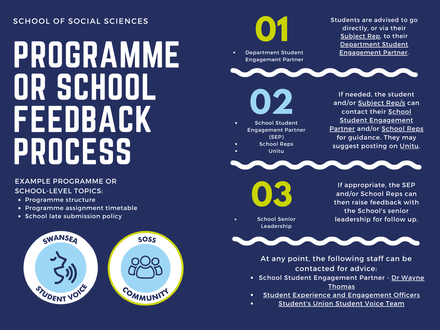# PROGRAMME OR SCHOOL FEEDBACK PROCESS

## EXAMPLE PROGRAMME OR SCHOOL-LEVEL TOPICS:

- Programme structure
- Programme assignment timetable
- School late submission policy





[Student's](mailto:student.voice@swansea-union.co.uk) Union Student Voice Team